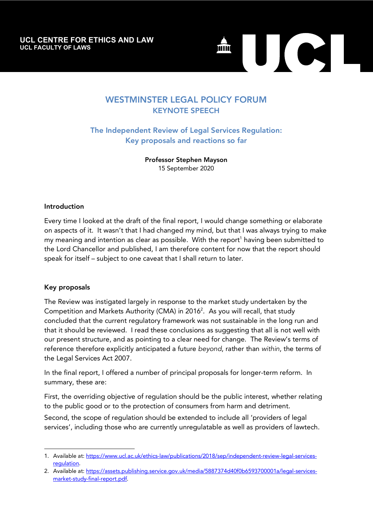**UCL CENTRE FOR ETHICS AND LAW UCL CENTRE FOR ETHICS AND LAW** UCL FACULTY OF LAWS **UCL FACULTY OF LAWS**



# WESTMINSTER LEGAL POLICY FORUM KEYNOTE SPEECH

The Independent Review of Legal Services Regulation: Key proposals and reactions so far

> Professor Stephen Mayson 15 September 2020

#### Introduction

Every time I looked at the draft of the final report, I would change something or elaborate on aspects of it. It wasn't that I had changed my mind, but that I was always trying to make my meaning and intention as clear as possible. With the report<sup>1</sup> having been submitted to the Lord Chancellor and published, I am therefore content for now that the report should speak for itself – subject to one caveat that I shall return to later.

#### Key proposals

l

The Review was instigated largely in response to the market study undertaken by the Competition and Markets Authority (CMA) in 2016<sup>2</sup>. As you will recall, that study concluded that the current regulatory framework was not sustainable in the long run and that it should be reviewed. I read these conclusions as suggesting that all is not well with our present structure, and as pointing to a clear need for change. The Review's terms of reference therefore explicitly anticipated a future *beyond*, rather than *within*, the terms of the Legal Services Act 2007.

In the final report, I offered a number of principal proposals for longer-term reform. In summary, these are:

First, the overriding objective of regulation should be the public interest, whether relating to the public good or to the protection of consumers from harm and detriment.

Second, the scope of regulation should be extended to include all 'providers of legal services', including those who are currently unregulatable as well as providers of lawtech.

<sup>1.</sup> Available at: https://www.ucl.ac.uk/ethics-law/publications/2018/sep/independent-review-legal-servicesregulation.

<sup>2.</sup> Available at: https://assets.publishing.service.gov.uk/media/5887374d40f0b6593700001a/legal-servicesmarket-study-final-report.pdf.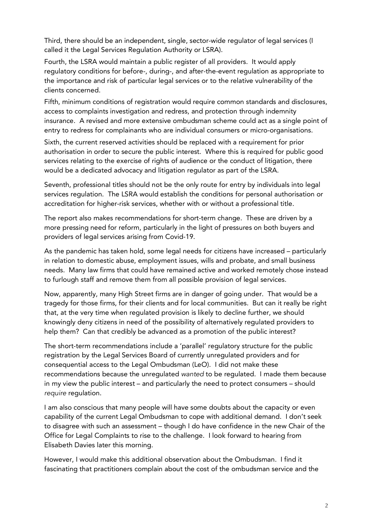Third, there should be an independent, single, sector-wide regulator of legal services (I called it the Legal Services Regulation Authority or LSRA).

Fourth, the LSRA would maintain a public register of all providers. It would apply regulatory conditions for before-, during-, and after-the-event regulation as appropriate to the importance and risk of particular legal services or to the relative vulnerability of the clients concerned.

Fifth, minimum conditions of registration would require common standards and disclosures, access to complaints investigation and redress, and protection through indemnity insurance. A revised and more extensive ombudsman scheme could act as a single point of entry to redress for complainants who are individual consumers or micro-organisations.

Sixth, the current reserved activities should be replaced with a requirement for prior authorisation in order to secure the public interest. Where this is required for public good services relating to the exercise of rights of audience or the conduct of litigation, there would be a dedicated advocacy and litigation regulator as part of the LSRA.

Seventh, professional titles should not be the only route for entry by individuals into legal services regulation. The LSRA would establish the conditions for personal authorisation or accreditation for higher-risk services, whether with or without a professional title.

The report also makes recommendations for short-term change. These are driven by a more pressing need for reform, particularly in the light of pressures on both buyers and providers of legal services arising from Covid-19.

As the pandemic has taken hold, some legal needs for citizens have increased – particularly in relation to domestic abuse, employment issues, wills and probate, and small business needs. Many law firms that could have remained active and worked remotely chose instead to furlough staff and remove them from all possible provision of legal services.

Now, apparently, many High Street firms are in danger of going under. That would be a tragedy for those firms, for their clients and for local communities. But can it really be right that, at the very time when regulated provision is likely to decline further, we should knowingly deny citizens in need of the possibility of alternatively regulated providers to help them? Can that credibly be advanced as a promotion of the public interest?

The short-term recommendations include a 'parallel' regulatory structure for the public registration by the Legal Services Board of currently unregulated providers and for consequential access to the Legal Ombudsman (LeO). I did not make these recommendations because the unregulated *wanted* to be regulated. I made them because in my view the public interest – and particularly the need to protect consumers – should *require* regulation.

I am also conscious that many people will have some doubts about the capacity or even capability of the current Legal Ombudsman to cope with additional demand. I don't seek to disagree with such an assessment – though I do have confidence in the new Chair of the Office for Legal Complaints to rise to the challenge. I look forward to hearing from Elisabeth Davies later this morning.

However, I would make this additional observation about the Ombudsman. I find it fascinating that practitioners complain about the cost of the ombudsman service and the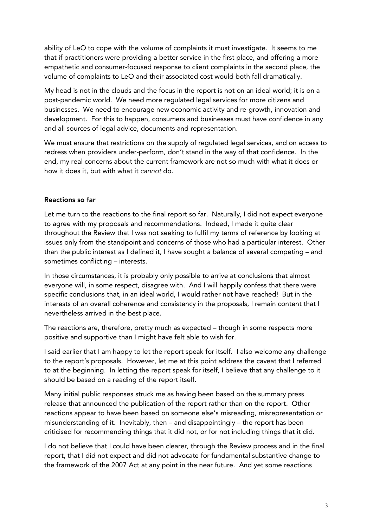ability of LeO to cope with the volume of complaints it must investigate. It seems to me that if practitioners were providing a better service in the first place, and offering a more empathetic and consumer-focused response to client complaints in the second place, the volume of complaints to LeO and their associated cost would both fall dramatically.

My head is not in the clouds and the focus in the report is not on an ideal world; it is on a post-pandemic world. We need more regulated legal services for more citizens and businesses. We need to encourage new economic activity and re-growth, innovation and development. For this to happen, consumers and businesses must have confidence in any and all sources of legal advice, documents and representation.

We must ensure that restrictions on the supply of regulated legal services, and on access to redress when providers under-perform, don't stand in the way of that confidence. In the end, my real concerns about the current framework are not so much with what it does or how it does it, but with what it *cannot* do.

### Reactions so far

Let me turn to the reactions to the final report so far. Naturally, I did not expect everyone to agree with my proposals and recommendations. Indeed, I made it quite clear throughout the Review that I was not seeking to fulfil my terms of reference by looking at issues only from the standpoint and concerns of those who had a particular interest. Other than the public interest as I defined it, I have sought a balance of several competing – and sometimes conflicting – interests.

In those circumstances, it is probably only possible to arrive at conclusions that almost everyone will, in some respect, disagree with. And I will happily confess that there were specific conclusions that, in an ideal world, I would rather not have reached! But in the interests of an overall coherence and consistency in the proposals, I remain content that I nevertheless arrived in the best place.

The reactions are, therefore, pretty much as expected – though in some respects more positive and supportive than I might have felt able to wish for.

I said earlier that I am happy to let the report speak for itself. I also welcome any challenge to the report's proposals. However, let me at this point address the caveat that I referred to at the beginning. In letting the report speak for itself, I believe that any challenge to it should be based on a reading of the report itself.

Many initial public responses struck me as having been based on the summary press release that announced the publication of the report rather than on the report. Other reactions appear to have been based on someone else's misreading, misrepresentation or misunderstanding of it. Inevitably, then – and disappointingly – the report has been criticised for recommending things that it did not, or for not including things that it did.

I do not believe that I could have been clearer, through the Review process and in the final report, that I did not expect and did not advocate for fundamental substantive change to the framework of the 2007 Act at any point in the near future. And yet some reactions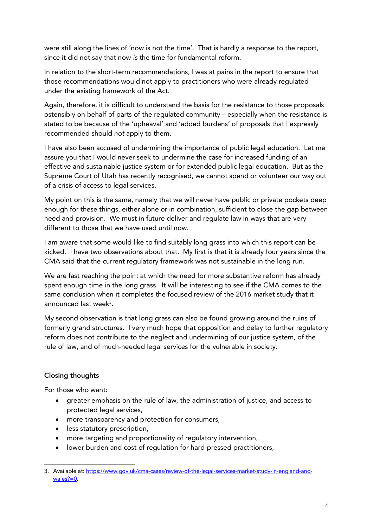were still along the lines of 'now is not the time'. That is hardly a response to the report, since it did not say that now *is* the time for fundamental reform.

In relation to the short-term recommendations, I was at pains in the report to ensure that those recommendations would not apply to practitioners who were already regulated under the existing framework of the Act.

Again, therefore, it is difficult to understand the basis for the resistance to those proposals ostensibly on behalf of parts of the regulated community – especially when the resistance is stated to be because of the 'upheaval' and 'added burdens' of proposals that I expressly recommended should *not* apply to them.

I have also been accused of undermining the importance of public legal education. Let me assure you that I would never seek to undermine the case for increased funding of an effective and sustainable justice system or for extended public legal education. But as the Supreme Court of Utah has recently recognised, we cannot spend or volunteer our way out of a crisis of access to legal services.

My point on this is the same, namely that we will never have public or private pockets deep enough for these things, either alone or in combination, sufficient to close the gap between need and provision. We must in future deliver and regulate law in ways that are very different to those that we have used until now.

I am aware that some would like to find suitably long grass into which this report can be kicked. I have two observations about that. My first is that it is already four years since the CMA said that the current regulatory framework was not sustainable in the long run.

We are fast reaching the point at which the need for more substantive reform has already spent enough time in the long grass. It will be interesting to see if the CMA comes to the same conclusion when it completes the focused review of the 2016 market study that it announced last week $^3$ .

My second observation is that long grass can also be found growing around the ruins of formerly grand structures. I very much hope that opposition and delay to further regulatory reform does not contribute to the neglect and undermining of our justice system, of the rule of law, and of much-needed legal services for the vulnerable in society.

## Closing thoughts

For those who want:

- greater emphasis on the rule of law, the administration of justice, and access to protected legal services,
- more transparency and protection for consumers,
- less statutory prescription,
- more targeting and proportionality of regulatory intervention,
- lower burden and cost of regulation for hard-pressed practitioners,

l 3. Available at: https://www.gov.uk/cma-cases/review-of-the-legal-services-market-study-in-england-andwales?=0.